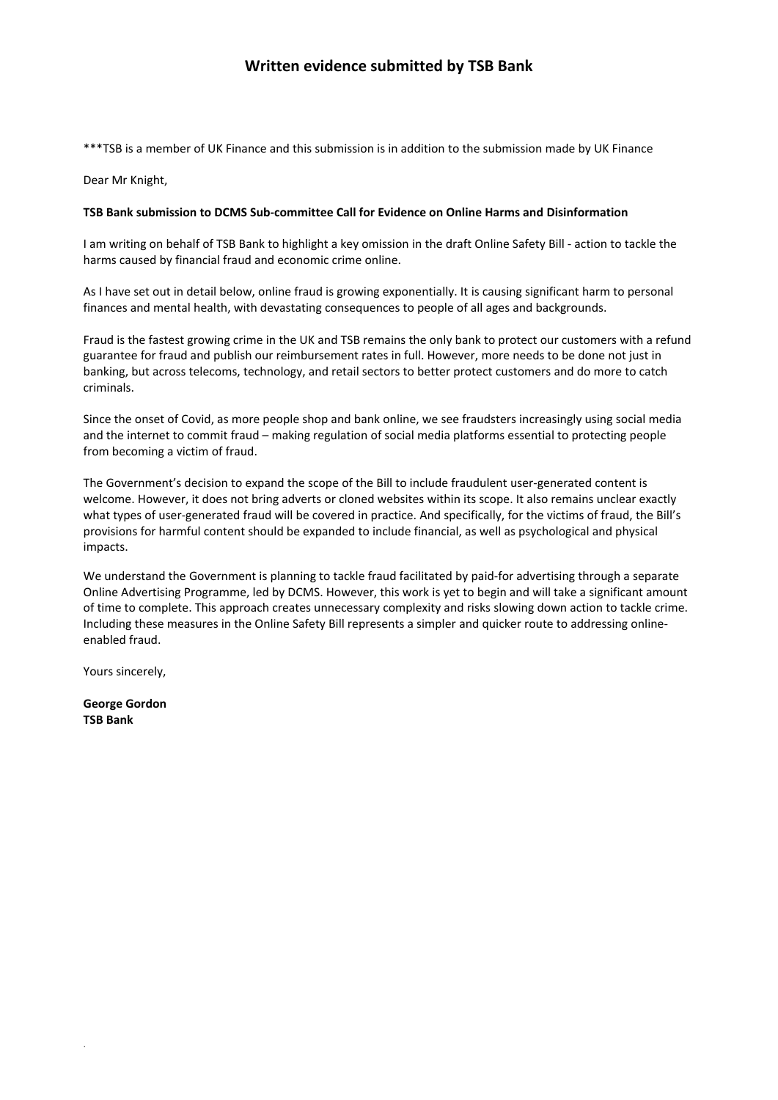# **Written evidence submitted by TSB Bank**

\*\*\*TSB is a member of UK Finance and this submission is in addition to the submission made by UK Finance

Dear Mr Knight,

#### **TSB Bank submission to DCMS Sub-committee Call for Evidence on Online Harms and Disinformation**

I am writing on behalf of TSB Bank to highlight a key omission in the draft Online Safety Bill - action to tackle the harms caused by financial fraud and economic crime online.

As I have set out in detail below, online fraud is growing exponentially. It is causing significant harm to personal finances and mental health, with devastating consequences to people of all ages and backgrounds.

Fraud is the fastest growing crime in the UK and TSB remains the only bank to protect our customers with a refund guarantee for fraud and publish our reimbursement rates in full. However, more needs to be done not just in banking, but across telecoms, technology, and retail sectors to better protect customers and do more to catch criminals.

Since the onset of Covid, as more people shop and bank online, we see fraudsters increasingly using social media and the internet to commit fraud – making regulation of social media platforms essential to protecting people from becoming a victim of fraud.

The Government's decision to expand the scope of the Bill to include fraudulent user-generated content is welcome. However, it does not bring adverts or cloned websites within its scope. It also remains unclear exactly what types of user-generated fraud will be covered in practice. And specifically, for the victims of fraud, the Bill's provisions for harmful content should be expanded to include financial, as well as psychological and physical impacts.

We understand the Government is planning to tackle fraud facilitated by paid-for advertising through a separate Online Advertising Programme, led by DCMS. However, this work is yet to begin and will take a significant amount of time to complete. This approach creates unnecessary complexity and risks slowing down action to tackle crime. Including these measures in the Online Safety Bill represents a simpler and quicker route to addressing onlineenabled fraud.

Yours sincerely,

**George Gordon TSB Bank**

.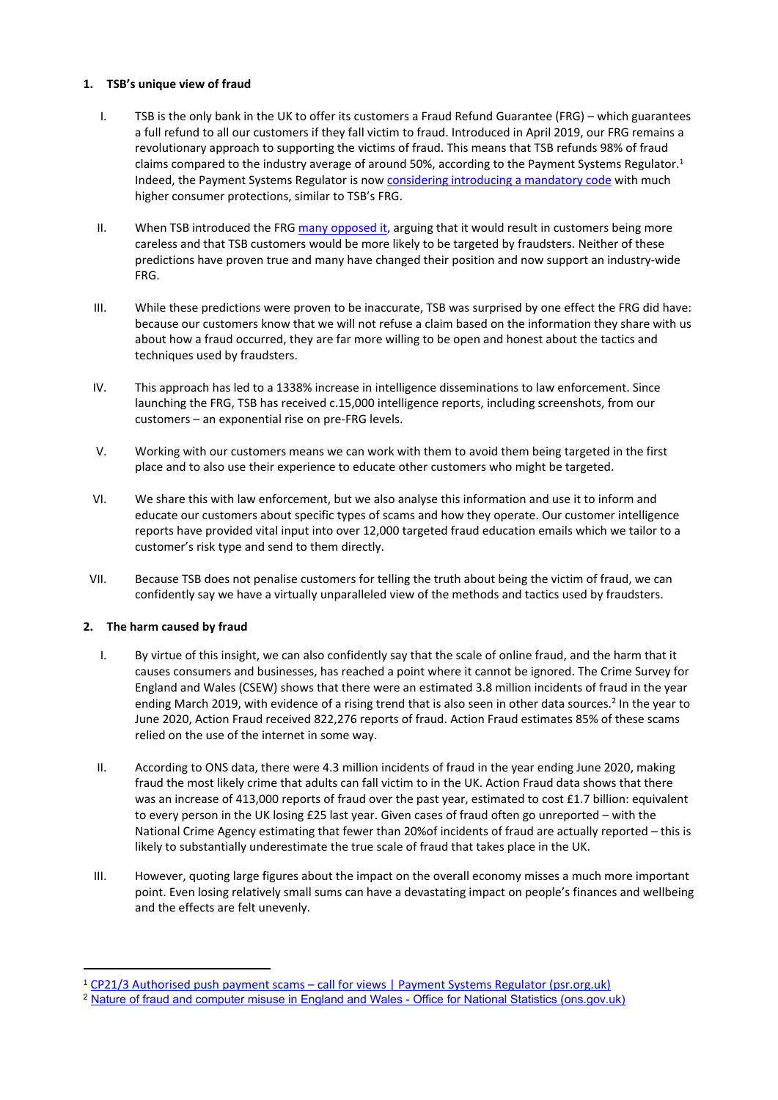### **1. TSB's unique view of fraud**

- I. TSB is the only bank in the UK to offer its customers a Fraud Refund Guarantee (FRG) which guarantees a full refund to all our customers if they fall victim to fraud. Introduced in April 2019, our FRG remains a revolutionary approach to supporting the victims of fraud. This means that TSB refunds 98% of fraud claims compared to the industry average of around 50%, according to the Payment Systems Regulator.<sup>1</sup> Indeed, the Payment Systems Regulator is now [considering](https://www.psr.org.uk/publications/consultations/cp21-3-authorised-push-payment-scams-call-for-views/) [introducing](https://www.psr.org.uk/publications/consultations/cp21-3-authorised-push-payment-scams-call-for-views/) [a](https://www.psr.org.uk/publications/consultations/cp21-3-authorised-push-payment-scams-call-for-views/) [mandatory](https://www.psr.org.uk/publications/consultations/cp21-3-authorised-push-payment-scams-call-for-views/) [code](https://www.psr.org.uk/publications/consultations/cp21-3-authorised-push-payment-scams-call-for-views/) with much higher consumer protections, similar to TSB's FRG.
- II. When TSB introduced the FRG [many](https://www.thetimes.co.uk/article/james-coney-i-said-tsb-was-foolish-to-refund-all-scams-i-was-wrong-t80tbl3mk) [opposed](https://www.thetimes.co.uk/article/james-coney-i-said-tsb-was-foolish-to-refund-all-scams-i-was-wrong-t80tbl3mk) [it](https://www.thetimes.co.uk/article/james-coney-i-said-tsb-was-foolish-to-refund-all-scams-i-was-wrong-t80tbl3mk), arguing that it would result in customers being more careless and that TSB customers would be more likely to be targeted by fraudsters. Neither of these predictions have proven true and many have changed their position and now support an industry-wide FRG.
- III. While these predictions were proven to be inaccurate, TSB was surprised by one effect the FRG did have: because our customers know that we will not refuse a claim based on the information they share with us about how a fraud occurred, they are far more willing to be open and honest about the tactics and techniques used by fraudsters.
- IV. This approach has led to a 1338% increase in intelligence disseminations to law enforcement. Since launching the FRG, TSB has received c.15,000 intelligence reports, including screenshots, from our customers – an exponential rise on pre-FRG levels.
- V. Working with our customers means we can work with them to avoid them being targeted in the first place and to also use their experience to educate other customers who might be targeted.
- VI. We share this with law enforcement, but we also analyse this information and use it to inform and educate our customers about specific types of scams and how they operate. Our customer intelligence reports have provided vital input into over 12,000 targeted fraud education emails which we tailor to a customer's risk type and send to them directly.
- VII. Because TSB does not penalise customers for telling the truth about being the victim of fraud, we can confidently say we have a virtually unparalleled view of the methods and tactics used by fraudsters.

## **2. The harm caused by fraud**

- I. By virtue of this insight, we can also confidently say that the scale of online fraud, and the harm that it causes consumers and businesses, has reached a point where it cannot be ignored. The Crime Survey for England and Wales (CSEW) shows that there were an estimated 3.8 million incidents of fraud in the year ending March 2019, with evidence of a rising trend that is also seen in other data sources.<sup>2</sup> In the year to June 2020, Action Fraud received 822,276 reports of fraud. Action Fraud estimates 85% of these scams relied on the use of the internet in some way.
- II. According to ONS data, there were 4.3 million incidents of fraud in the year ending June 2020, making fraud the most likely crime that adults can fall victim to in the UK. Action Fraud data shows that there was an increase of 413,000 reports of fraud over the past year, estimated to cost £1.7 billion: equivalent to every person in the UK losing £25 last year. Given cases of fraud often go unreported – with the National Crime Agency estimating that fewer than 20%of incidents of fraud are actually reported – this is likely to substantially underestimate the true scale of fraud that takes place in the UK.
- III. However, quoting large figures about the impact on the overall economy misses a much more important point. Even losing relatively small sums can have a devastating impact on people's finances and wellbeing and the effects are felt unevenly.

<sup>1</sup> [CP21/3](https://www.psr.org.uk/publications/consultations/cp21-3-authorised-push-payment-scams-call-for-views/) [Authorised](https://www.psr.org.uk/publications/consultations/cp21-3-authorised-push-payment-scams-call-for-views/) [push](https://www.psr.org.uk/publications/consultations/cp21-3-authorised-push-payment-scams-call-for-views/) [payment](https://www.psr.org.uk/publications/consultations/cp21-3-authorised-push-payment-scams-call-for-views/) [scams](https://www.psr.org.uk/publications/consultations/cp21-3-authorised-push-payment-scams-call-for-views/) [–](https://www.psr.org.uk/publications/consultations/cp21-3-authorised-push-payment-scams-call-for-views/) [call](https://www.psr.org.uk/publications/consultations/cp21-3-authorised-push-payment-scams-call-for-views/) [for](https://www.psr.org.uk/publications/consultations/cp21-3-authorised-push-payment-scams-call-for-views/) [views](https://www.psr.org.uk/publications/consultations/cp21-3-authorised-push-payment-scams-call-for-views/) [|](https://www.psr.org.uk/publications/consultations/cp21-3-authorised-push-payment-scams-call-for-views/) [Payment](https://www.psr.org.uk/publications/consultations/cp21-3-authorised-push-payment-scams-call-for-views/) [Systems](https://www.psr.org.uk/publications/consultations/cp21-3-authorised-push-payment-scams-call-for-views/) [Regulator](https://www.psr.org.uk/publications/consultations/cp21-3-authorised-push-payment-scams-call-for-views/) [\(psr.org.uk\)](https://www.psr.org.uk/publications/consultations/cp21-3-authorised-push-payment-scams-call-for-views/)

<sup>2</sup> [Nature](https://www.ons.gov.uk/peoplepopulationandcommunity/crimeandjustice/articles/natureoffraudandcomputermisuseinenglandandwales/yearendingmarch2019) [of](https://www.ons.gov.uk/peoplepopulationandcommunity/crimeandjustice/articles/natureoffraudandcomputermisuseinenglandandwales/yearendingmarch2019) [fraud](https://www.ons.gov.uk/peoplepopulationandcommunity/crimeandjustice/articles/natureoffraudandcomputermisuseinenglandandwales/yearendingmarch2019) [and](https://www.ons.gov.uk/peoplepopulationandcommunity/crimeandjustice/articles/natureoffraudandcomputermisuseinenglandandwales/yearendingmarch2019) [computer](https://www.ons.gov.uk/peoplepopulationandcommunity/crimeandjustice/articles/natureoffraudandcomputermisuseinenglandandwales/yearendingmarch2019) [misuse](https://www.ons.gov.uk/peoplepopulationandcommunity/crimeandjustice/articles/natureoffraudandcomputermisuseinenglandandwales/yearendingmarch2019) [in](https://www.ons.gov.uk/peoplepopulationandcommunity/crimeandjustice/articles/natureoffraudandcomputermisuseinenglandandwales/yearendingmarch2019) [England](https://www.ons.gov.uk/peoplepopulationandcommunity/crimeandjustice/articles/natureoffraudandcomputermisuseinenglandandwales/yearendingmarch2019) [and](https://www.ons.gov.uk/peoplepopulationandcommunity/crimeandjustice/articles/natureoffraudandcomputermisuseinenglandandwales/yearendingmarch2019) [Wales](https://www.ons.gov.uk/peoplepopulationandcommunity/crimeandjustice/articles/natureoffraudandcomputermisuseinenglandandwales/yearendingmarch2019) [-](https://www.ons.gov.uk/peoplepopulationandcommunity/crimeandjustice/articles/natureoffraudandcomputermisuseinenglandandwales/yearendingmarch2019) [Office](https://www.ons.gov.uk/peoplepopulationandcommunity/crimeandjustice/articles/natureoffraudandcomputermisuseinenglandandwales/yearendingmarch2019) [for](https://www.ons.gov.uk/peoplepopulationandcommunity/crimeandjustice/articles/natureoffraudandcomputermisuseinenglandandwales/yearendingmarch2019) [National](https://www.ons.gov.uk/peoplepopulationandcommunity/crimeandjustice/articles/natureoffraudandcomputermisuseinenglandandwales/yearendingmarch2019) [Statistics](https://www.ons.gov.uk/peoplepopulationandcommunity/crimeandjustice/articles/natureoffraudandcomputermisuseinenglandandwales/yearendingmarch2019) [\(ons.gov.uk\)](https://www.ons.gov.uk/peoplepopulationandcommunity/crimeandjustice/articles/natureoffraudandcomputermisuseinenglandandwales/yearendingmarch2019)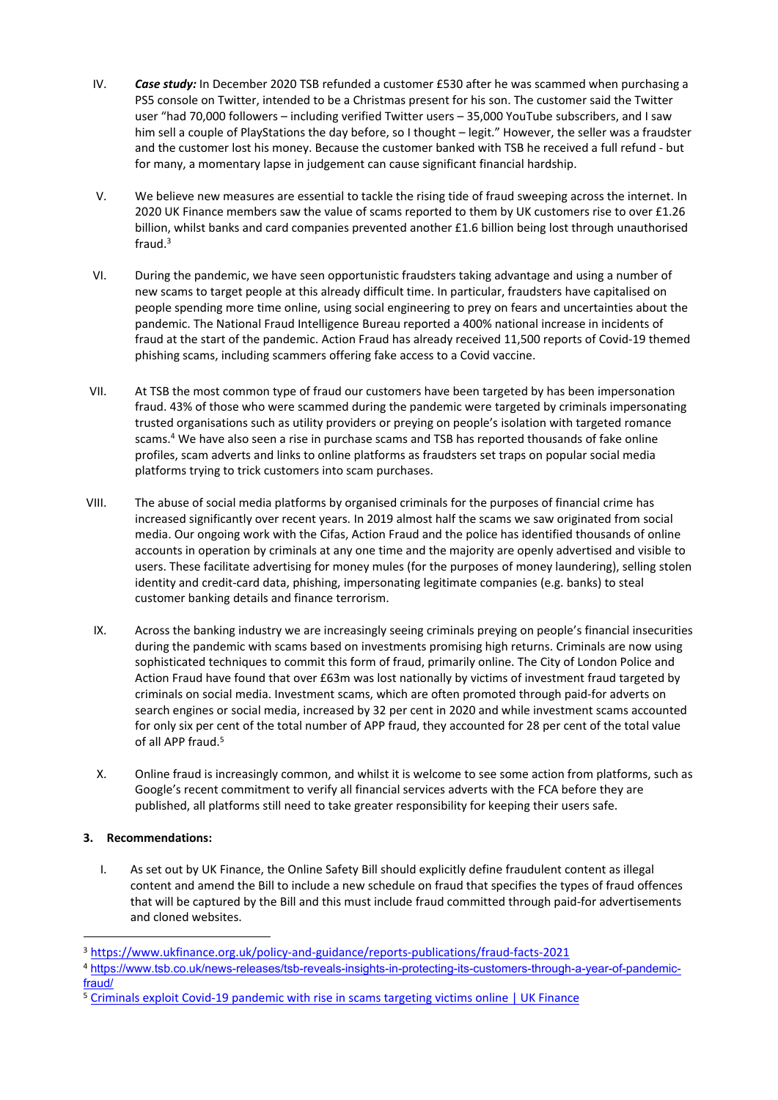- IV. *Case study:* In December 2020 TSB refunded a customer £530 after he was scammed when purchasing a PS5 console on Twitter, intended to be a Christmas present for his son. The customer said the Twitter user "had 70,000 followers – including verified Twitter users – 35,000 YouTube subscribers, and I saw him sell a couple of PlayStations the day before, so I thought – legit." However, the seller was a fraudster and the customer lost his money. Because the customer banked with TSB he received a full refund - but for many, a momentary lapse in judgement can cause significant financial hardship.
- V. We believe new measures are essential to tackle the rising tide of fraud sweeping across the internet. In 2020 UK Finance members saw the value of scams reported to them by UK customers rise to over £1.26 billion, whilst banks and card companies prevented another £1.6 billion being lost through unauthorised fraud.<sup>3</sup>
- VI. During the pandemic, we have seen opportunistic fraudsters taking advantage and using a number of new scams to target people at this already difficult time. In particular, fraudsters have capitalised on people spending more time online, using social engineering to prey on fears and uncertainties about the pandemic. The National Fraud Intelligence Bureau reported a 400% national increase in incidents of fraud at the start of the pandemic. Action Fraud has already received 11,500 reports of Covid-19 themed phishing scams, including scammers offering fake access to a Covid vaccine.
- VII. At TSB the most common type of fraud our customers have been targeted by has been impersonation fraud. 43% of those who were scammed during the pandemic were targeted by criminals impersonating trusted organisations such as utility providers or preying on people's isolation with targeted romance scams.<sup>4</sup> We have also seen a rise in purchase scams and TSB has reported thousands of fake online profiles, scam adverts and links to online platforms as fraudsters set traps on popular social media platforms trying to trick customers into scam purchases.
- VIII. The abuse of social media platforms by organised criminals for the purposes of financial crime has increased significantly over recent years. In 2019 almost half the scams we saw originated from social media. Our ongoing work with the Cifas, Action Fraud and the police has identified thousands of online accounts in operation by criminals at any one time and the majority are openly advertised and visible to users. These facilitate advertising for money mules (for the purposes of money laundering), selling stolen identity and credit-card data, phishing, impersonating legitimate companies (e.g. banks) to steal customer banking details and finance terrorism.
- IX. Across the banking industry we are increasingly seeing criminals preying on people's financial insecurities during the pandemic with scams based on investments promising high returns. Criminals are now using sophisticated techniques to commit this form of fraud, primarily online. The City of London Police and Action Fraud have found that over £63m was lost nationally by victims of investment fraud targeted by criminals on social media. Investment scams, which are often promoted through paid-for adverts on search engines or social media, increased by 32 per cent in 2020 and while investment scams accounted for only six per cent of the total number of APP fraud, they accounted for 28 per cent of the total value of all APP fraud.<sup>5</sup>
- X. Online fraud is increasingly common, and whilst it is welcome to see some action from platforms, such as Google's recent commitment to verify all financial services adverts with the FCA before they are published, all platforms still need to take greater responsibility for keeping their users safe.

## **3. Recommendations:**

I. As set out by UK Finance, the Online Safety Bill should explicitly define fraudulent content as illegal content and amend the Bill to include a new schedule on fraud that specifies the types of fraud offences that will be captured by the Bill and this must include fraud committed through paid-for advertisements and cloned websites.

<sup>3</sup> <https://www.ukfinance.org.uk/policy-and-guidance/reports-publications/fraud-facts-2021>

<sup>4</sup> [https://www.tsb.co.uk/news-releases/tsb-reveals-insights-in-protecting-its-customers-through-a-year-of-pandemic](https://www.tsb.co.uk/news-releases/tsb-reveals-insights-in-protecting-its-customers-through-a-year-of-pandemic-fraud/)[fraud/](https://www.tsb.co.uk/news-releases/tsb-reveals-insights-in-protecting-its-customers-through-a-year-of-pandemic-fraud/)

<sup>5</sup> [Criminals](https://www.ukfinance.org.uk/press/press-releases/criminals-exploit-covid-19-pandemic-rise-scams-targeting-victims-online) [exploit](https://www.ukfinance.org.uk/press/press-releases/criminals-exploit-covid-19-pandemic-rise-scams-targeting-victims-online) [Covid-19](https://www.ukfinance.org.uk/press/press-releases/criminals-exploit-covid-19-pandemic-rise-scams-targeting-victims-online) [pandemic](https://www.ukfinance.org.uk/press/press-releases/criminals-exploit-covid-19-pandemic-rise-scams-targeting-victims-online) [with](https://www.ukfinance.org.uk/press/press-releases/criminals-exploit-covid-19-pandemic-rise-scams-targeting-victims-online) [rise](https://www.ukfinance.org.uk/press/press-releases/criminals-exploit-covid-19-pandemic-rise-scams-targeting-victims-online) [in](https://www.ukfinance.org.uk/press/press-releases/criminals-exploit-covid-19-pandemic-rise-scams-targeting-victims-online) [scams](https://www.ukfinance.org.uk/press/press-releases/criminals-exploit-covid-19-pandemic-rise-scams-targeting-victims-online) [targeting](https://www.ukfinance.org.uk/press/press-releases/criminals-exploit-covid-19-pandemic-rise-scams-targeting-victims-online) [victims](https://www.ukfinance.org.uk/press/press-releases/criminals-exploit-covid-19-pandemic-rise-scams-targeting-victims-online) [online](https://www.ukfinance.org.uk/press/press-releases/criminals-exploit-covid-19-pandemic-rise-scams-targeting-victims-online) [|](https://www.ukfinance.org.uk/press/press-releases/criminals-exploit-covid-19-pandemic-rise-scams-targeting-victims-online) [UK](https://www.ukfinance.org.uk/press/press-releases/criminals-exploit-covid-19-pandemic-rise-scams-targeting-victims-online) [Finance](https://www.ukfinance.org.uk/press/press-releases/criminals-exploit-covid-19-pandemic-rise-scams-targeting-victims-online)